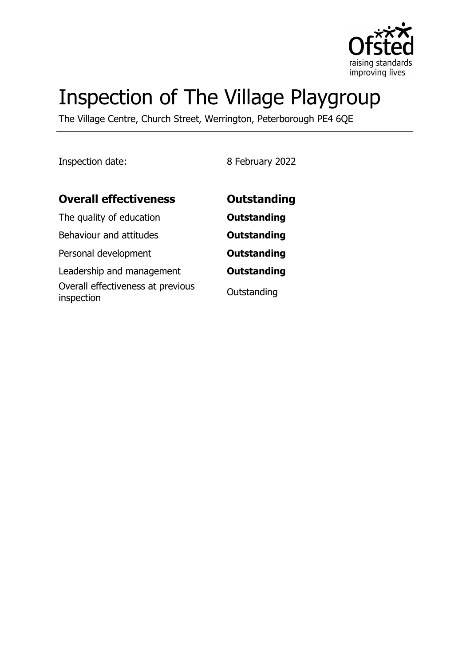

# Inspection of The Village Playgroup

The Village Centre, Church Street, Werrington, Peterborough PE4 6QE

Inspection date: 8 February 2022

| <b>Overall effectiveness</b>                    | <b>Outstanding</b> |  |
|-------------------------------------------------|--------------------|--|
| The quality of education                        | <b>Outstanding</b> |  |
| Behaviour and attitudes                         | <b>Outstanding</b> |  |
| Personal development                            | <b>Outstanding</b> |  |
| Leadership and management                       | <b>Outstanding</b> |  |
| Overall effectiveness at previous<br>inspection | Outstanding        |  |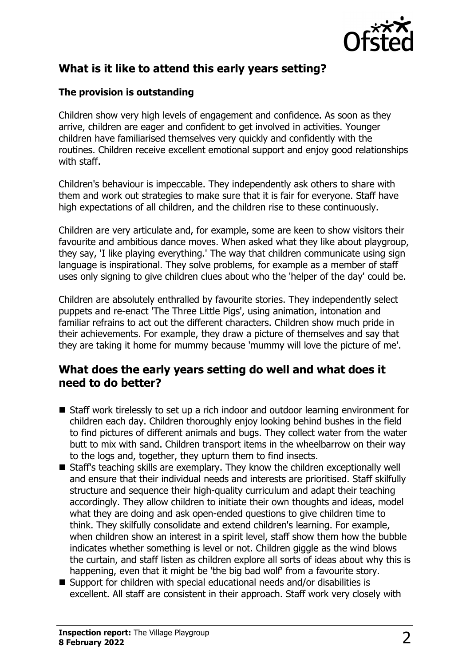

# **What is it like to attend this early years setting?**

#### **The provision is outstanding**

Children show very high levels of engagement and confidence. As soon as they arrive, children are eager and confident to get involved in activities. Younger children have familiarised themselves very quickly and confidently with the routines. Children receive excellent emotional support and enjoy good relationships with staff.

Children's behaviour is impeccable. They independently ask others to share with them and work out strategies to make sure that it is fair for everyone. Staff have high expectations of all children, and the children rise to these continuously.

Children are very articulate and, for example, some are keen to show visitors their favourite and ambitious dance moves. When asked what they like about playgroup, they say, 'I like playing everything.' The way that children communicate using sign language is inspirational. They solve problems, for example as a member of staff uses only signing to give children clues about who the 'helper of the day' could be.

Children are absolutely enthralled by favourite stories. They independently select puppets and re-enact 'The Three Little Pigs', using animation, intonation and familiar refrains to act out the different characters. Children show much pride in their achievements. For example, they draw a picture of themselves and say that they are taking it home for mummy because 'mummy will love the picture of me'.

### **What does the early years setting do well and what does it need to do better?**

- Staff work tirelessly to set up a rich indoor and outdoor learning environment for children each day. Children thoroughly enjoy looking behind bushes in the field to find pictures of different animals and bugs. They collect water from the water butt to mix with sand. Children transport items in the wheelbarrow on their way to the logs and, together, they upturn them to find insects.
- $\blacksquare$  Staff's teaching skills are exemplary. They know the children exceptionally well and ensure that their individual needs and interests are prioritised. Staff skilfully structure and sequence their high-quality curriculum and adapt their teaching accordingly. They allow children to initiate their own thoughts and ideas, model what they are doing and ask open-ended questions to give children time to think. They skilfully consolidate and extend children's learning. For example, when children show an interest in a spirit level, staff show them how the bubble indicates whether something is level or not. Children giggle as the wind blows the curtain, and staff listen as children explore all sorts of ideas about why this is happening, even that it might be 'the big bad wolf' from a favourite story.
- $\blacksquare$  Support for children with special educational needs and/or disabilities is excellent. All staff are consistent in their approach. Staff work very closely with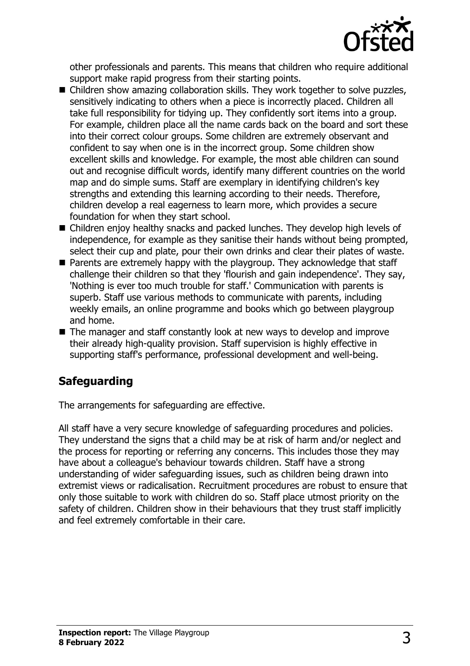

other professionals and parents. This means that children who require additional support make rapid progress from their starting points.

- Children show amazing collaboration skills. They work together to solve puzzles, sensitively indicating to others when a piece is incorrectly placed. Children all take full responsibility for tidying up. They confidently sort items into a group. For example, children place all the name cards back on the board and sort these into their correct colour groups. Some children are extremely observant and confident to say when one is in the incorrect group. Some children show excellent skills and knowledge. For example, the most able children can sound out and recognise difficult words, identify many different countries on the world map and do simple sums. Staff are exemplary in identifying children's key strengths and extending this learning according to their needs. Therefore, children develop a real eagerness to learn more, which provides a secure foundation for when they start school.
- $\blacksquare$  Children enjoy healthy snacks and packed lunches. They develop high levels of independence, for example as they sanitise their hands without being prompted, select their cup and plate, pour their own drinks and clear their plates of waste.
- $\blacksquare$  Parents are extremely happy with the playgroup. They acknowledge that staff challenge their children so that they 'flourish and gain independence'. They say, 'Nothing is ever too much trouble for staff.' Communication with parents is superb. Staff use various methods to communicate with parents, including weekly emails, an online programme and books which go between playgroup and home.
- $\blacksquare$  The manager and staff constantly look at new ways to develop and improve their already high-quality provision. Staff supervision is highly effective in supporting staff's performance, professional development and well-being.

## **Safeguarding**

The arrangements for safeguarding are effective.

All staff have a very secure knowledge of safeguarding procedures and policies. They understand the signs that a child may be at risk of harm and/or neglect and the process for reporting or referring any concerns. This includes those they may have about a colleague's behaviour towards children. Staff have a strong understanding of wider safeguarding issues, such as children being drawn into extremist views or radicalisation. Recruitment procedures are robust to ensure that only those suitable to work with children do so. Staff place utmost priority on the safety of children. Children show in their behaviours that they trust staff implicitly and feel extremely comfortable in their care.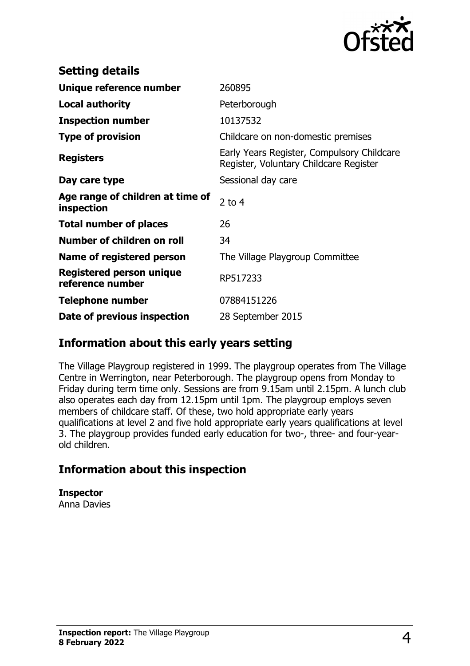

| <b>Setting details</b>                         |                                                                                      |
|------------------------------------------------|--------------------------------------------------------------------------------------|
| Unique reference number                        | 260895                                                                               |
| <b>Local authority</b>                         | Peterborough                                                                         |
| <b>Inspection number</b>                       | 10137532                                                                             |
| <b>Type of provision</b>                       | Childcare on non-domestic premises                                                   |
| <b>Registers</b>                               | Early Years Register, Compulsory Childcare<br>Register, Voluntary Childcare Register |
| Day care type                                  | Sessional day care                                                                   |
| Age range of children at time of<br>inspection | $2$ to 4                                                                             |
| <b>Total number of places</b>                  | 26                                                                                   |
| Number of children on roll                     | 34                                                                                   |
| Name of registered person                      | The Village Playgroup Committee                                                      |
| Registered person unique<br>reference number   | RP517233                                                                             |
| <b>Telephone number</b>                        | 07884151226                                                                          |
| Date of previous inspection                    | 28 September 2015                                                                    |

## **Information about this early years setting**

The Village Playgroup registered in 1999. The playgroup operates from The Village Centre in Werrington, near Peterborough. The playgroup opens from Monday to Friday during term time only. Sessions are from 9.15am until 2.15pm. A lunch club also operates each day from 12.15pm until 1pm. The playgroup employs seven members of childcare staff. Of these, two hold appropriate early years qualifications at level 2 and five hold appropriate early years qualifications at level 3. The playgroup provides funded early education for two-, three- and four-yearold children.

## **Information about this inspection**

**Inspector** Anna Davies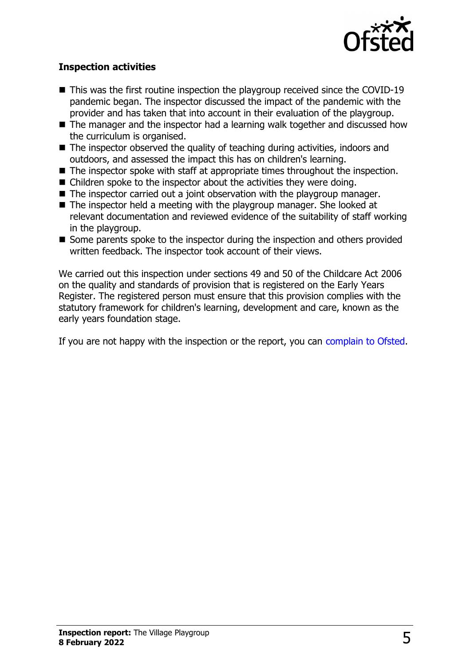

#### **Inspection activities**

- $\blacksquare$  This was the first routine inspection the playgroup received since the COVID-19 pandemic began. The inspector discussed the impact of the pandemic with the provider and has taken that into account in their evaluation of the playgroup.
- $\blacksquare$  The manager and the inspector had a learning walk together and discussed how the curriculum is organised.
- $\blacksquare$  The inspector observed the quality of teaching during activities, indoors and outdoors, and assessed the impact this has on children's learning.
- $\blacksquare$  The inspector spoke with staff at appropriate times throughout the inspection.
- $\blacksquare$  Children spoke to the inspector about the activities they were doing.
- $\blacksquare$  The inspector carried out a joint observation with the playgroup manager.
- $\blacksquare$  The inspector held a meeting with the playgroup manager. She looked at relevant documentation and reviewed evidence of the suitability of staff working in the playgroup.
- Some parents spoke to the inspector during the inspection and others provided written feedback. The inspector took account of their views.

We carried out this inspection under sections 49 and 50 of the Childcare Act 2006 on the quality and standards of provision that is registered on the Early Years Register. The registered person must ensure that this provision complies with the statutory framework for children's learning, development and care, known as the early years foundation stage.

If you are not happy with the inspection or the report, you can [complain to Ofsted](http://www.gov.uk/complain-ofsted-report).